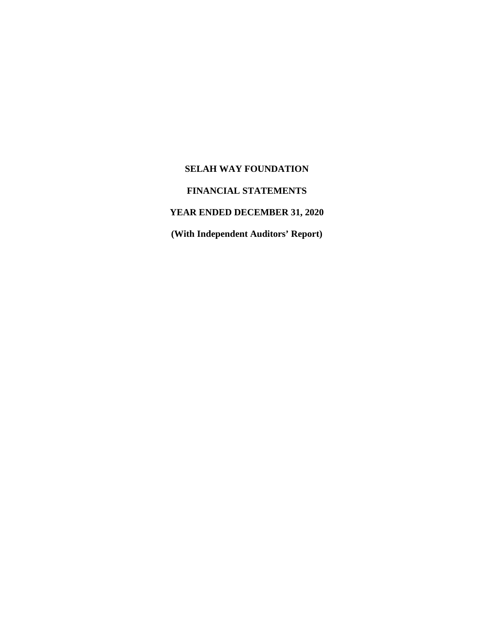# **FINANCIAL STATEMENTS**

# **YEAR ENDED DECEMBER 31, 2020**

**(With Independent Auditors' Report)**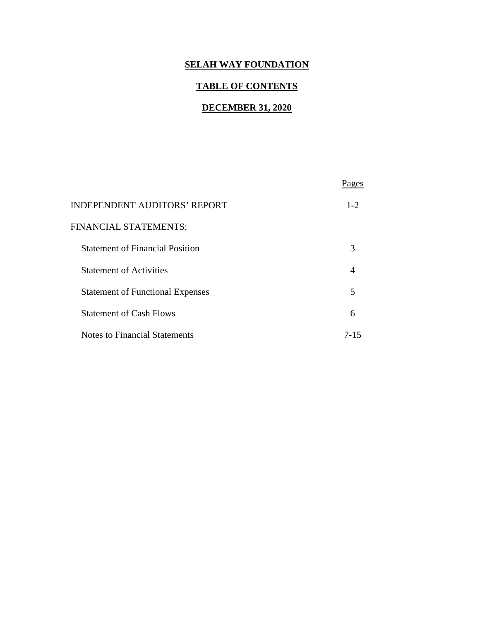# **TABLE OF CONTENTS**

# **DECEMBER 31, 2020**

| <b>INDEPENDENT AUDITORS' REPORT</b>     | $1 - 2$ |
|-----------------------------------------|---------|
| FINANCIAL STATEMENTS:                   |         |
| <b>Statement of Financial Position</b>  | 3       |
| <b>Statement of Activities</b>          |         |
| <b>Statement of Functional Expenses</b> | 5       |
| <b>Statement of Cash Flows</b>          | 6       |
| <b>Notes to Financial Statements</b>    | 7-15    |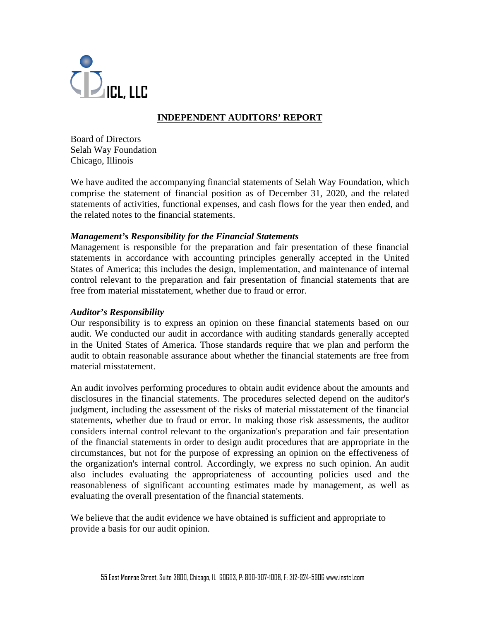

# **INDEPENDENT AUDITORS' REPORT**

Board of Directors Selah Way Foundation Chicago, Illinois

We have audited the accompanying financial statements of Selah Way Foundation, which comprise the statement of financial position as of December 31, 2020, and the related statements of activities, functional expenses, and cash flows for the year then ended, and the related notes to the financial statements.

### *Management's Responsibility for the Financial Statements*

Management is responsible for the preparation and fair presentation of these financial statements in accordance with accounting principles generally accepted in the United States of America; this includes the design, implementation, and maintenance of internal control relevant to the preparation and fair presentation of financial statements that are free from material misstatement, whether due to fraud or error.

### *Auditor's Responsibility*

Our responsibility is to express an opinion on these financial statements based on our audit. We conducted our audit in accordance with auditing standards generally accepted in the United States of America. Those standards require that we plan and perform the audit to obtain reasonable assurance about whether the financial statements are free from material misstatement.

An audit involves performing procedures to obtain audit evidence about the amounts and disclosures in the financial statements. The procedures selected depend on the auditor's judgment, including the assessment of the risks of material misstatement of the financial statements, whether due to fraud or error. In making those risk assessments, the auditor considers internal control relevant to the organization's preparation and fair presentation of the financial statements in order to design audit procedures that are appropriate in the circumstances, but not for the purpose of expressing an opinion on the effectiveness of the organization's internal control. Accordingly, we express no such opinion. An audit also includes evaluating the appropriateness of accounting policies used and the reasonableness of significant accounting estimates made by management, as well as evaluating the overall presentation of the financial statements.

We believe that the audit evidence we have obtained is sufficient and appropriate to provide a basis for our audit opinion.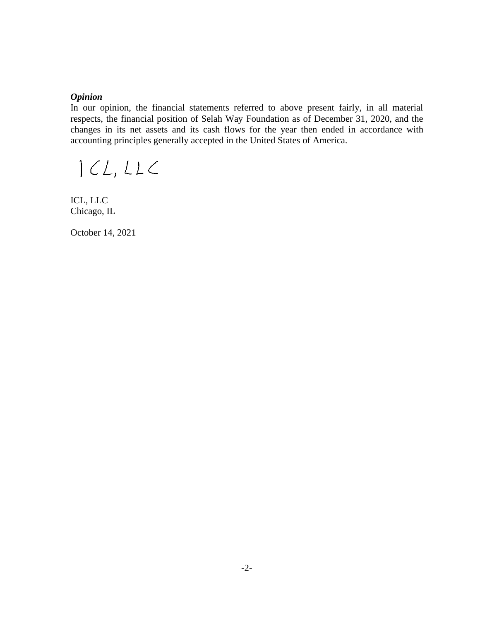#### *Opinion*

In our opinion, the financial statements referred to above present fairly, in all material respects, the financial position of Selah Way Foundation as of December 31, 2020, and the changes in its net assets and its cash flows for the year then ended in accordance with accounting principles generally accepted in the United States of America.

 $|CL,LLC$ 

ICL, LLC Chicago, IL

October 14, 2021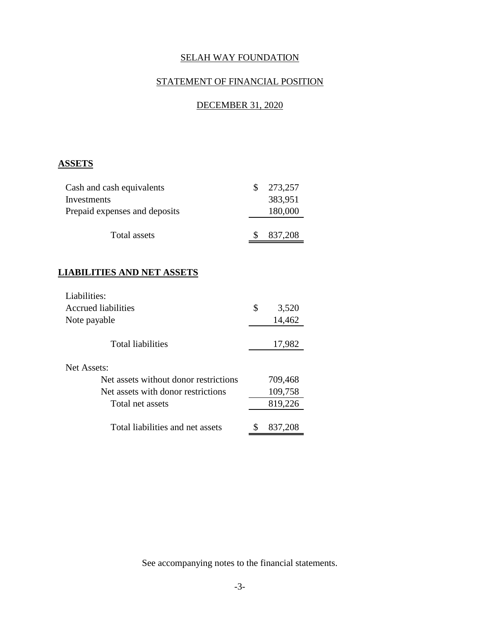# STATEMENT OF FINANCIAL POSITION

# DECEMBER 31, 2020

# **ASSETS**

| Cash and cash equivalents     | 273,257 |
|-------------------------------|---------|
| Investments                   | 383,951 |
| Prepaid expenses and deposits | 180,000 |
| Total assets                  | 837,208 |

# **LIABILITIES AND NET ASSETS**

| Liabilities:                          |             |
|---------------------------------------|-------------|
| <b>Accrued liabilities</b>            | \$<br>3,520 |
| Note payable                          | 14,462      |
| <b>Total liabilities</b>              | 17,982      |
| Net Assets:                           |             |
| Net assets without donor restrictions | 709,468     |
| Net assets with donor restrictions    | 109,758     |
| Total net assets                      | 819,226     |
| Total liabilities and net assets      | 837,208     |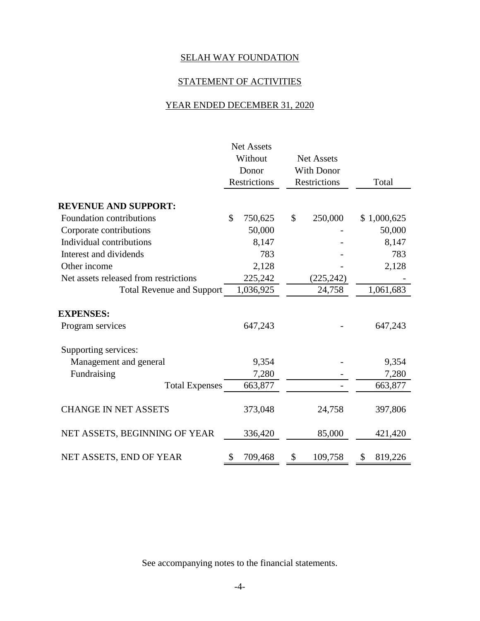# STATEMENT OF ACTIVITIES

# YEAR ENDED DECEMBER 31, 2020

|                                       | <b>Net Assets</b>            |                   |               |
|---------------------------------------|------------------------------|-------------------|---------------|
|                                       | Without<br><b>Net Assets</b> |                   |               |
|                                       | Donor                        | <b>With Donor</b> |               |
|                                       | <b>Restrictions</b>          | Restrictions      | Total         |
| <b>REVENUE AND SUPPORT:</b>           |                              |                   |               |
| Foundation contributions              | \$<br>750,625                | \$<br>250,000     | \$1,000,625   |
|                                       |                              |                   |               |
| Corporate contributions               | 50,000                       |                   | 50,000        |
| Individual contributions              | 8,147                        |                   | 8,147         |
| Interest and dividends                | 783                          |                   | 783           |
| Other income                          | 2,128                        |                   | 2,128         |
| Net assets released from restrictions | 225,242                      | (225, 242)        |               |
| <b>Total Revenue and Support</b>      | 1,036,925                    | 24,758            | 1,061,683     |
| <b>EXPENSES:</b>                      |                              |                   |               |
| Program services                      | 647,243                      |                   | 647,243       |
| Supporting services:                  |                              |                   |               |
| Management and general                | 9,354                        |                   | 9,354         |
| Fundraising                           | 7,280                        |                   | 7,280         |
| <b>Total Expenses</b>                 | 663,877                      |                   | 663,877       |
| <b>CHANGE IN NET ASSETS</b>           | 373,048                      | 24,758            | 397,806       |
| NET ASSETS, BEGINNING OF YEAR         | 336,420                      | 85,000            | 421,420       |
| NET ASSETS, END OF YEAR               | 709,468<br>\$                | \$<br>109,758     | \$<br>819,226 |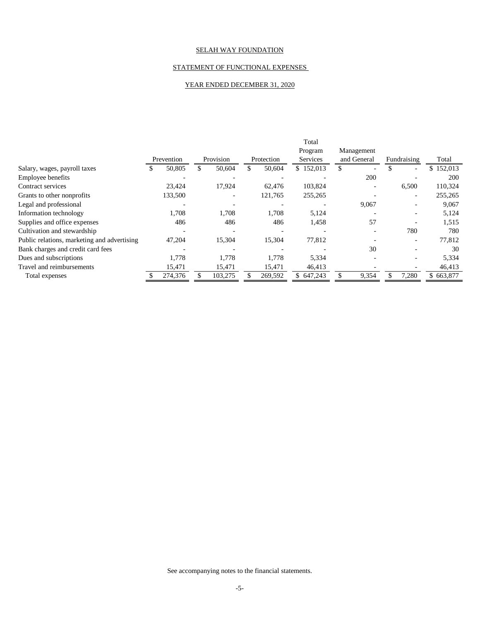#### STATEMENT OF FUNCTIONAL EXPENSES

#### YEAR ENDED DECEMBER 31, 2020

|                                             |    |            |                              |            | Total           |             |                          |            |
|---------------------------------------------|----|------------|------------------------------|------------|-----------------|-------------|--------------------------|------------|
|                                             |    |            |                              |            | Program         | Management  |                          |            |
|                                             |    | Prevention | Provision                    | Protection | <b>Services</b> | and General | Fundraising              | Total      |
| Salary, wages, payroll taxes                | æ. | 50,805     | 50,604                       | 50,604     | \$152,013       | \$          | $\equiv$                 | \$152,013  |
| <b>Employee benefits</b>                    |    |            |                              |            |                 | 200         |                          | <b>200</b> |
| Contract services                           |    | 23,424     | 17,924                       | 62,476     | 103,824         |             | 6,500                    | 110,324    |
| Grants to other nonprofits                  |    | 133,500    | $\qquad \qquad \blacksquare$ | 121,765    | 255,265         |             |                          | 255,265    |
| Legal and professional                      |    |            |                              |            |                 | 9,067       | $\overline{\phantom{0}}$ | 9,067      |
| Information technology                      |    | 1,708      | 1,708                        | 1,708      | 5,124           |             | -                        | 5,124      |
| Supplies and office expenses                |    | 486        | 486                          | 486        | 1,458           | 57          |                          | 1,515      |
| Cultivation and stewardship                 |    |            |                              |            |                 |             | 780                      | 780        |
| Public relations, marketing and advertising |    | 47,204     | 15,304                       | 15,304     | 77,812          |             | $\overline{\phantom{0}}$ | 77,812     |
| Bank charges and credit card fees           |    |            |                              |            |                 | 30          |                          | 30         |
| Dues and subscriptions                      |    | 1,778      | 1,778                        | 1.778      | 5,334           |             |                          | 5,334      |
| Travel and reimbursements                   |    | 15,471     | 15,471                       | 15,471     | 46,413          |             |                          | 46,413     |
| Total expenses                              |    | 274,376    | 103,275                      | 269,592    | \$647,243       | 9,354       | 7,280                    | \$663,877  |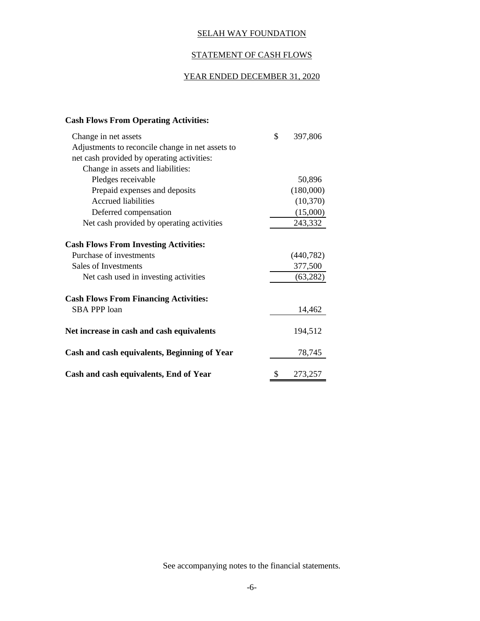### STATEMENT OF CASH FLOWS

# YEAR ENDED DECEMBER 31, 2020

## **Cash Flows From Operating Activities:**

| Change in net assets                             | \$<br>397,806 |
|--------------------------------------------------|---------------|
| Adjustments to reconcile change in net assets to |               |
| net cash provided by operating activities:       |               |
| Change in assets and liabilities:                |               |
| Pledges receivable                               | 50,896        |
| Prepaid expenses and deposits                    | (180,000)     |
| <b>Accrued liabilities</b>                       | (10, 370)     |
| Deferred compensation                            | (15,000)      |
| Net cash provided by operating activities        | 243,332       |
| <b>Cash Flows From Investing Activities:</b>     |               |
| Purchase of investments                          | (440, 782)    |
| Sales of Investments                             | 377,500       |
| Net cash used in investing activities            | (63, 282)     |
| <b>Cash Flows From Financing Activities:</b>     |               |
| <b>SBA PPP loan</b>                              | 14,462        |
| Net increase in cash and cash equivalents        | 194,512       |
| Cash and cash equivalents, Beginning of Year     | 78,745        |
| Cash and cash equivalents, End of Year           | \$<br>273,257 |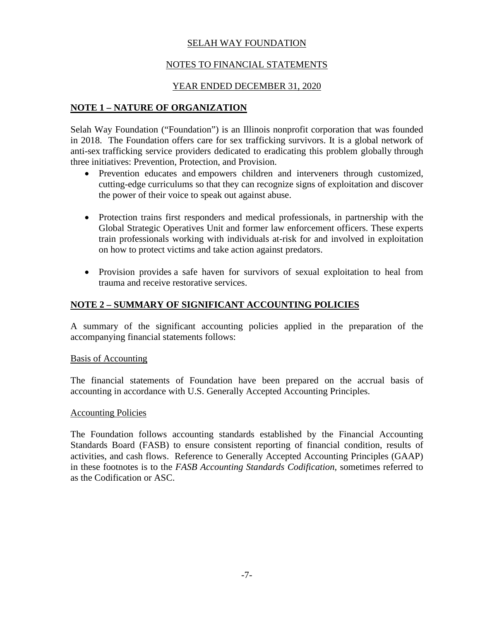# NOTES TO FINANCIAL STATEMENTS

## YEAR ENDED DECEMBER 31, 2020

### **NOTE 1 – NATURE OF ORGANIZATION**

Selah Way Foundation ("Foundation") is an Illinois nonprofit corporation that was founded in 2018. The Foundation offers care for sex trafficking survivors. It is a global network of anti-sex trafficking service providers dedicated to eradicating this problem globally through three initiatives: Prevention, Protection, and Provision.

- Prevention educates and empowers children and interveners through customized, cutting-edge curriculums so that they can recognize signs of exploitation and discover the power of their voice to speak out against abuse.
- Protection trains first responders and medical professionals, in partnership with the Global Strategic Operatives Unit and former law enforcement officers. These experts train professionals working with individuals at-risk for and involved in exploitation on how to protect victims and take action against predators.
- Provision provides a safe haven for survivors of sexual exploitation to heal from trauma and receive restorative services.

# **NOTE 2 – SUMMARY OF SIGNIFICANT ACCOUNTING POLICIES**

A summary of the significant accounting policies applied in the preparation of the accompanying financial statements follows:

### Basis of Accounting

The financial statements of Foundation have been prepared on the accrual basis of accounting in accordance with U.S. Generally Accepted Accounting Principles.

#### Accounting Policies

The Foundation follows accounting standards established by the Financial Accounting Standards Board (FASB) to ensure consistent reporting of financial condition, results of activities, and cash flows. Reference to Generally Accepted Accounting Principles (GAAP) in these footnotes is to the *FASB Accounting Standards Codification*, sometimes referred to as the Codification or ASC.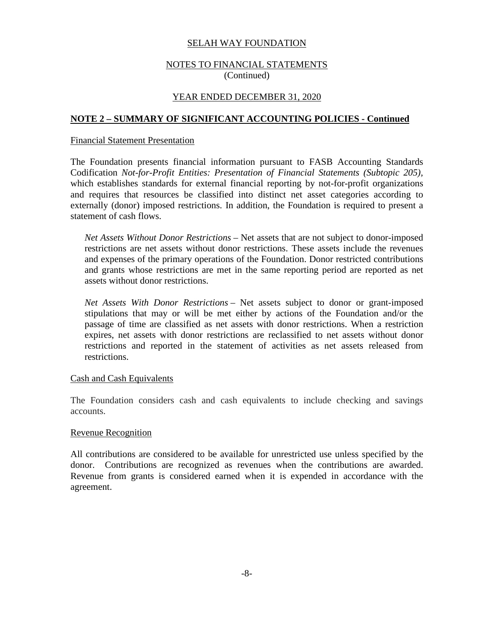### NOTES TO FINANCIAL STATEMENTS (Continued)

### YEAR ENDED DECEMBER 31, 2020

### **NOTE 2 – SUMMARY OF SIGNIFICANT ACCOUNTING POLICIES - Continued**

#### Financial Statement Presentation

The Foundation presents financial information pursuant to FASB Accounting Standards Codification *Not-for-Profit Entities: Presentation of Financial Statements (Subtopic 205),* which establishes standards for external financial reporting by not-for-profit organizations and requires that resources be classified into distinct net asset categories according to externally (donor) imposed restrictions. In addition, the Foundation is required to present a statement of cash flows.

*Net Assets Without Donor Restrictions* – Net assets that are not subject to donor-imposed restrictions are net assets without donor restrictions. These assets include the revenues and expenses of the primary operations of the Foundation. Donor restricted contributions and grants whose restrictions are met in the same reporting period are reported as net assets without donor restrictions.

*Net Assets With Donor Restrictions* – Net assets subject to donor or grant-imposed stipulations that may or will be met either by actions of the Foundation and/or the passage of time are classified as net assets with donor restrictions. When a restriction expires, net assets with donor restrictions are reclassified to net assets without donor restrictions and reported in the statement of activities as net assets released from restrictions.

#### Cash and Cash Equivalents

The Foundation considers cash and cash equivalents to include checking and savings accounts.

#### Revenue Recognition

All contributions are considered to be available for unrestricted use unless specified by the donor. Contributions are recognized as revenues when the contributions are awarded. Revenue from grants is considered earned when it is expended in accordance with the agreement.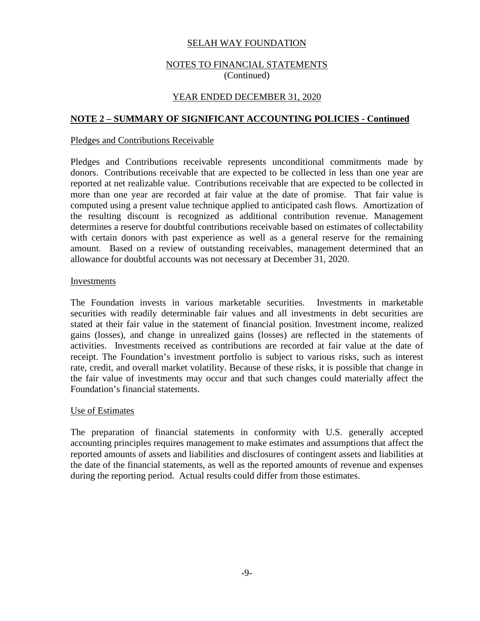### NOTES TO FINANCIAL STATEMENTS (Continued)

### YEAR ENDED DECEMBER 31, 2020

### **NOTE 2 – SUMMARY OF SIGNIFICANT ACCOUNTING POLICIES - Continued**

#### Pledges and Contributions Receivable

Pledges and Contributions receivable represents unconditional commitments made by donors. Contributions receivable that are expected to be collected in less than one year are reported at net realizable value. Contributions receivable that are expected to be collected in more than one year are recorded at fair value at the date of promise. That fair value is computed using a present value technique applied to anticipated cash flows. Amortization of the resulting discount is recognized as additional contribution revenue. Management determines a reserve for doubtful contributions receivable based on estimates of collectability with certain donors with past experience as well as a general reserve for the remaining amount. Based on a review of outstanding receivables, management determined that an allowance for doubtful accounts was not necessary at December 31, 2020.

#### Investments

The Foundation invests in various marketable securities. Investments in marketable securities with readily determinable fair values and all investments in debt securities are stated at their fair value in the statement of financial position. Investment income, realized gains (losses), and change in unrealized gains (losses) are reflected in the statements of activities. Investments received as contributions are recorded at fair value at the date of receipt. The Foundation's investment portfolio is subject to various risks, such as interest rate, credit, and overall market volatility. Because of these risks, it is possible that change in the fair value of investments may occur and that such changes could materially affect the Foundation's financial statements.

#### Use of Estimates

The preparation of financial statements in conformity with U.S. generally accepted accounting principles requires management to make estimates and assumptions that affect the reported amounts of assets and liabilities and disclosures of contingent assets and liabilities at the date of the financial statements, as well as the reported amounts of revenue and expenses during the reporting period. Actual results could differ from those estimates.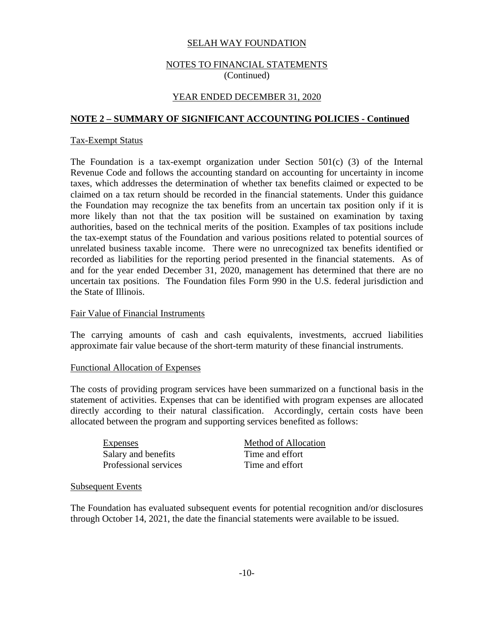### NOTES TO FINANCIAL STATEMENTS (Continued)

### YEAR ENDED DECEMBER 31, 2020

### **NOTE 2 – SUMMARY OF SIGNIFICANT ACCOUNTING POLICIES - Continued**

#### Tax-Exempt Status

The Foundation is a tax-exempt organization under Section  $501(c)$  (3) of the Internal Revenue Code and follows the accounting standard on accounting for uncertainty in income taxes, which addresses the determination of whether tax benefits claimed or expected to be claimed on a tax return should be recorded in the financial statements. Under this guidance the Foundation may recognize the tax benefits from an uncertain tax position only if it is more likely than not that the tax position will be sustained on examination by taxing authorities, based on the technical merits of the position. Examples of tax positions include the tax-exempt status of the Foundation and various positions related to potential sources of unrelated business taxable income. There were no unrecognized tax benefits identified or recorded as liabilities for the reporting period presented in the financial statements. As of and for the year ended December 31, 2020, management has determined that there are no uncertain tax positions. The Foundation files Form 990 in the U.S. federal jurisdiction and the State of Illinois.

#### Fair Value of Financial Instruments

The carrying amounts of cash and cash equivalents, investments, accrued liabilities approximate fair value because of the short-term maturity of these financial instruments.

#### Functional Allocation of Expenses

The costs of providing program services have been summarized on a functional basis in the statement of activities. Expenses that can be identified with program expenses are allocated directly according to their natural classification. Accordingly, certain costs have been allocated between the program and supporting services benefited as follows:

Salary and benefits Professional services

Expenses Method of Allocation Time and effort Time and effort

#### Subsequent Events

The Foundation has evaluated subsequent events for potential recognition and/or disclosures through October 14, 2021, the date the financial statements were available to be issued.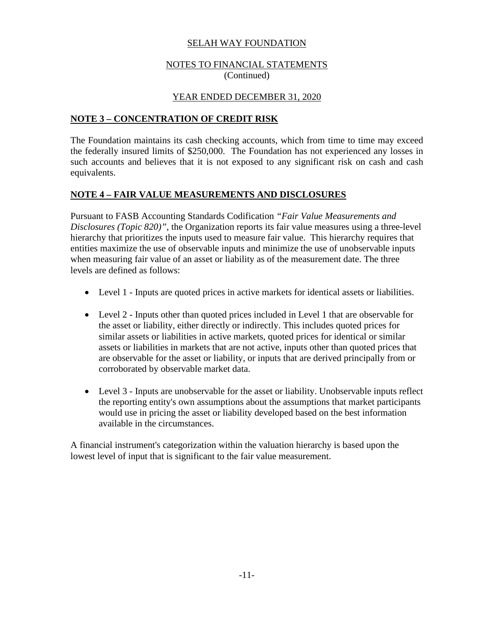## NOTES TO FINANCIAL STATEMENTS (Continued)

# YEAR ENDED DECEMBER 31, 2020

# **NOTE 3 – CONCENTRATION OF CREDIT RISK**

The Foundation maintains its cash checking accounts, which from time to time may exceed the federally insured limits of \$250,000. The Foundation has not experienced any losses in such accounts and believes that it is not exposed to any significant risk on cash and cash equivalents.

# **NOTE 4 – FAIR VALUE MEASUREMENTS AND DISCLOSURES**

Pursuant to FASB Accounting Standards Codification *"Fair Value Measurements and Disclosures (Topic 820)"*, the Organization reports its fair value measures using a three-level hierarchy that prioritizes the inputs used to measure fair value. This hierarchy requires that entities maximize the use of observable inputs and minimize the use of unobservable inputs when measuring fair value of an asset or liability as of the measurement date. The three levels are defined as follows:

- Level 1 Inputs are quoted prices in active markets for identical assets or liabilities.
- Level 2 Inputs other than quoted prices included in Level 1 that are observable for the asset or liability, either directly or indirectly. This includes quoted prices for similar assets or liabilities in active markets, quoted prices for identical or similar assets or liabilities in markets that are not active, inputs other than quoted prices that are observable for the asset or liability, or inputs that are derived principally from or corroborated by observable market data.
- Level 3 Inputs are unobservable for the asset or liability. Unobservable inputs reflect the reporting entity's own assumptions about the assumptions that market participants would use in pricing the asset or liability developed based on the best information available in the circumstances.

A financial instrument's categorization within the valuation hierarchy is based upon the lowest level of input that is significant to the fair value measurement.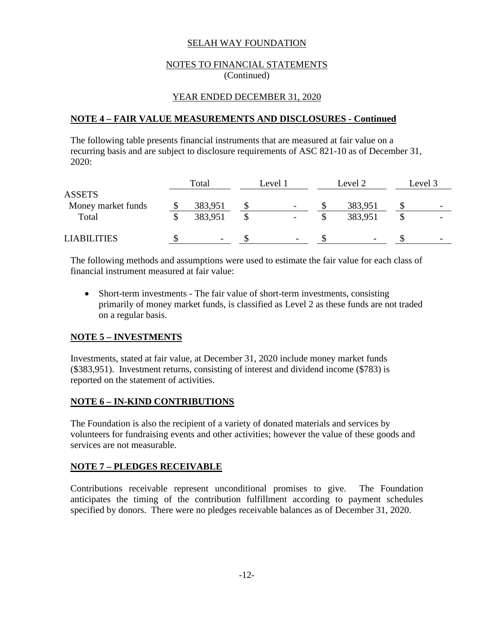### NOTES TO FINANCIAL STATEMENTS (Continued)

# YEAR ENDED DECEMBER 31, 2020

### **NOTE 4 – FAIR VALUE MEASUREMENTS AND DISCLOSURES - Continued**

The following table presents financial instruments that are measured at fair value on a recurring basis and are subject to disclosure requirements of ASC 821-10 as of December 31, 2020:

|                    | Total                    | Level 2<br>Level 1       |  |                          |  | Level 3                  |  |
|--------------------|--------------------------|--------------------------|--|--------------------------|--|--------------------------|--|
| <b>ASSETS</b>      |                          |                          |  |                          |  |                          |  |
| Money market funds | 383,951                  | $\overline{\phantom{a}}$ |  | 383,951                  |  | $\overline{\phantom{0}}$ |  |
| Total              | 383,951                  | $\overline{\phantom{a}}$ |  | 383,951                  |  |                          |  |
| <b>LIABILITIES</b> | $\overline{\phantom{a}}$ |                          |  | $\overline{\phantom{0}}$ |  | $\overline{\phantom{a}}$ |  |

The following methods and assumptions were used to estimate the fair value for each class of financial instrument measured at fair value:

 Short-term investments - The fair value of short-term investments, consisting primarily of money market funds, is classified as Level 2 as these funds are not traded on a regular basis.

# **NOTE 5 – INVESTMENTS**

Investments, stated at fair value, at December 31, 2020 include money market funds (\$383,951). Investment returns, consisting of interest and dividend income (\$783) is reported on the statement of activities.

# **NOTE 6 – IN-KIND CONTRIBUTIONS**

The Foundation is also the recipient of a variety of donated materials and services by volunteers for fundraising events and other activities; however the value of these goods and services are not measurable.

### **NOTE 7 – PLEDGES RECEIVABLE**

Contributions receivable represent unconditional promises to give. The Foundation anticipates the timing of the contribution fulfillment according to payment schedules specified by donors. There were no pledges receivable balances as of December 31, 2020.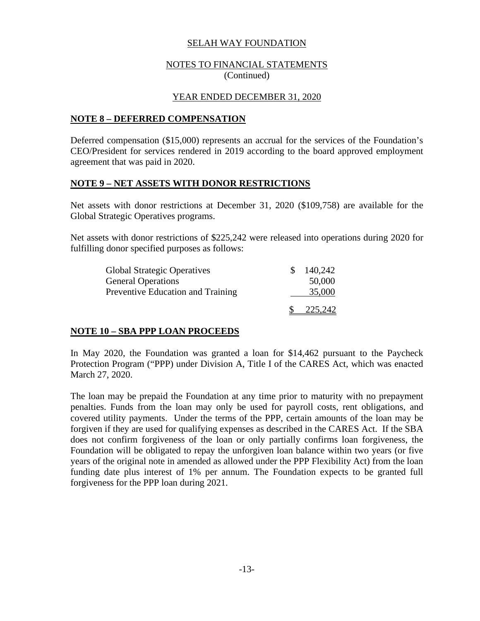### NOTES TO FINANCIAL STATEMENTS (Continued)

### YEAR ENDED DECEMBER 31, 2020

### **NOTE 8 – DEFERRED COMPENSATION**

Deferred compensation (\$15,000) represents an accrual for the services of the Foundation's CEO/President for services rendered in 2019 according to the board approved employment agreement that was paid in 2020.

#### **NOTE 9 – NET ASSETS WITH DONOR RESTRICTIONS**

Net assets with donor restrictions at December 31, 2020 (\$109,758) are available for the Global Strategic Operatives programs.

Net assets with donor restrictions of \$225,242 were released into operations during 2020 for fulfilling donor specified purposes as follows:

| <b>Global Strategic Operatives</b> | 140,242 |
|------------------------------------|---------|
| <b>General Operations</b>          | 50,000  |
| Preventive Education and Training  | 35,000  |
|                                    | 225,242 |

### **NOTE 10 – SBA PPP LOAN PROCEEDS**

In May 2020, the Foundation was granted a loan for \$14,462 pursuant to the Paycheck Protection Program ("PPP) under Division A, Title I of the CARES Act, which was enacted March 27, 2020.

The loan may be prepaid the Foundation at any time prior to maturity with no prepayment penalties. Funds from the loan may only be used for payroll costs, rent obligations, and covered utility payments. Under the terms of the PPP, certain amounts of the loan may be forgiven if they are used for qualifying expenses as described in the CARES Act. If the SBA does not confirm forgiveness of the loan or only partially confirms loan forgiveness, the Foundation will be obligated to repay the unforgiven loan balance within two years (or five years of the original note in amended as allowed under the PPP Flexibility Act) from the loan funding date plus interest of 1% per annum. The Foundation expects to be granted full forgiveness for the PPP loan during 2021.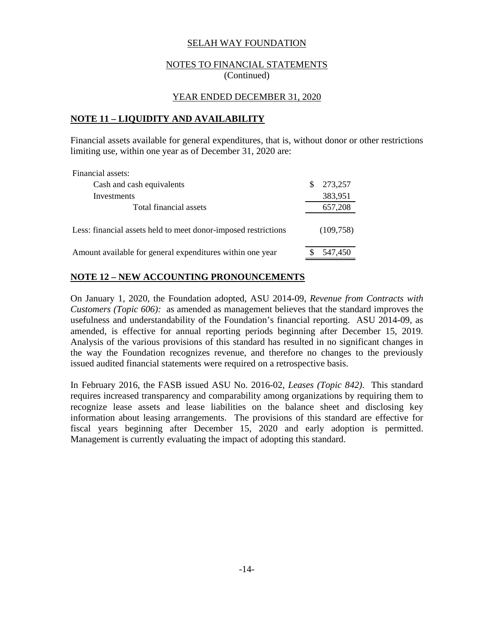### NOTES TO FINANCIAL STATEMENTS (Continued)

### YEAR ENDED DECEMBER 31, 2020

### **NOTE 11 – LIQUIDITY AND AVAILABILITY**

Financial assets available for general expenditures, that is, without donor or other restrictions limiting use, within one year as of December 31, 2020 are:

| Financial assets:                                              |            |
|----------------------------------------------------------------|------------|
| Cash and cash equivalents                                      | 273,257    |
| Investments                                                    | 383,951    |
| Total financial assets                                         | 657,208    |
| Less: financial assets held to meet donor-imposed restrictions | (109, 758) |
| Amount available for general expenditures within one year      | 547,450    |

# **NOTE 12 – NEW ACCOUNTING PRONOUNCEMENTS**

On January 1, 2020, the Foundation adopted, ASU 2014-09, *Revenue from Contracts with Customers (Topic 606):* as amended as management believes that the standard improves the usefulness and understandability of the Foundation's financial reporting. ASU 2014-09, as amended, is effective for annual reporting periods beginning after December 15, 2019. Analysis of the various provisions of this standard has resulted in no significant changes in the way the Foundation recognizes revenue, and therefore no changes to the previously issued audited financial statements were required on a retrospective basis.

In February 2016, the FASB issued ASU No. 2016-02, *Leases (Topic 842)*. This standard requires increased transparency and comparability among organizations by requiring them to recognize lease assets and lease liabilities on the balance sheet and disclosing key information about leasing arrangements. The provisions of this standard are effective for fiscal years beginning after December 15, 2020 and early adoption is permitted. Management is currently evaluating the impact of adopting this standard.